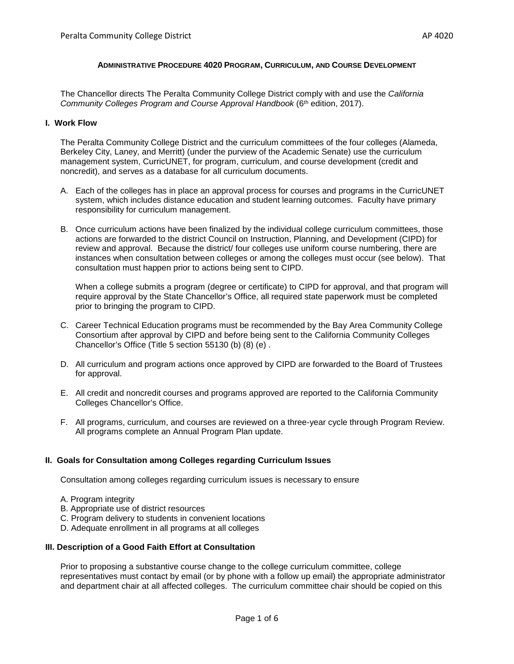#### **ADMINISTRATIVE PROCEDURE 4020 PROGRAM, CURRICULUM, AND COURSE DEVELOPMENT**

The Chancellor directs The Peralta Community College District comply with and use the *California Community Colleges Program and Course Approval Handbook* (6th edition, 2017).

#### **I. Work Flow**

The Peralta Community College District and the curriculum committees of the four colleges (Alameda, Berkeley City, Laney, and Merritt) (under the purview of the Academic Senate) use the curriculum management system, CurricUNET, for program, curriculum, and course development (credit and noncredit), and serves as a database for all curriculum documents.

- A. Each of the colleges has in place an approval process for courses and programs in the CurricUNET system, which includes distance education and student learning outcomes. Faculty have primary responsibility for curriculum management.
- B. Once curriculum actions have been finalized by the individual college curriculum committees, those actions are forwarded to the district Council on Instruction, Planning, and Development (CIPD) for review and approval. Because the district/ four colleges use uniform course numbering, there are instances when consultation between colleges or among the colleges must occur (see below). That consultation must happen prior to actions being sent to CIPD.

When a college submits a program (degree or certificate) to CIPD for approval, and that program will require approval by the State Chancellor's Office, all required state paperwork must be completed prior to bringing the program to CIPD.

- C. Career Technical Education programs must be recommended by the Bay Area Community College Consortium after approval by CIPD and before being sent to the California Community Colleges Chancellor's Office (Title 5 section 55130 (b) (8) (e) .
- D. All curriculum and program actions once approved by CIPD are forwarded to the Board of Trustees for approval.
- E. All credit and noncredit courses and programs approved are reported to the California Community Colleges Chancellor's Office.
- F. All programs, curriculum, and courses are reviewed on a three-year cycle through Program Review. All programs complete an Annual Program Plan update.

#### **II. Goals for Consultation among Colleges regarding Curriculum Issues**

Consultation among colleges regarding curriculum issues is necessary to ensure

- A. Program integrity
- B. Appropriate use of district resources
- C. Program delivery to students in convenient locations
- D. Adequate enrollment in all programs at all colleges

#### **III. Description of a Good Faith Effort at Consultation**

Prior to proposing a substantive course change to the college curriculum committee, college representatives must contact by email (or by phone with a follow up email) the appropriate administrator and department chair at all affected colleges. The curriculum committee chair should be copied on this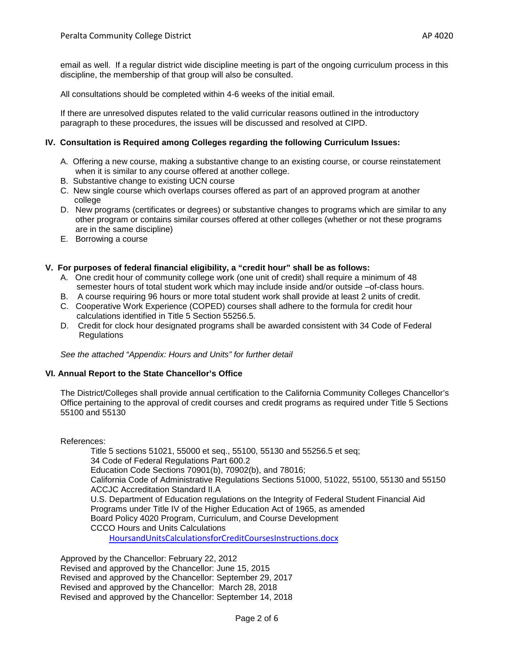email as well. If a regular district wide discipline meeting is part of the ongoing curriculum process in this discipline, the membership of that group will also be consulted.

All consultations should be completed within 4-6 weeks of the initial email.

If there are unresolved disputes related to the valid curricular reasons outlined in the introductory paragraph to these procedures, the issues will be discussed and resolved at CIPD.

## **IV. Consultation is Required among Colleges regarding the following Curriculum Issues:**

- A. Offering a new course, making a substantive change to an existing course, or course reinstatement when it is similar to any course offered at another college.
- B. Substantive change to existing UCN course
- C. New single course which overlaps courses offered as part of an approved program at another college
- D. New programs (certificates or degrees) or substantive changes to programs which are similar to any other program or contains similar courses offered at other colleges (whether or not these programs are in the same discipline)
- E. Borrowing a course

## **V. For purposes of federal financial eligibility, a "credit hour" shall be as follows:**

- A. One credit hour of community college work (one unit of credit) shall require a minimum of 48 semester hours of total student work which may include inside and/or outside –of-class hours.
- B. A course requiring 96 hours or more total student work shall provide at least 2 units of credit.
- C. Cooperative Work Experience (COPED) courses shall adhere to the formula for credit hour calculations identified in Title 5 Section 55256.5.
- D. Credit for clock hour designated programs shall be awarded consistent with 34 Code of Federal **Regulations**

*See the attached "Appendix: Hours and Units" for further detail*

#### **VI. Annual Report to the State Chancellor's Office**

The District/Colleges shall provide annual certification to the California Community Colleges Chancellor's Office pertaining to the approval of credit courses and credit programs as required under Title 5 Sections 55100 and 55130

References:

Title 5 sections 51021, 55000 et seq., 55100, 55130 and 55256.5 et seq; 34 Code of Federal Regulations Part 600.2 Education Code Sections 70901(b), 70902(b), and 78016; California Code of Administrative Regulations Sections 51000, 51022, 55100, 55130 and 55150 ACCJC Accreditation Standard II.A U.S. Department of Education regulations on the Integrity of Federal Student Financial Aid Programs under Title IV of the Higher Education Act of 1965, as amended Board Policy 4020 Program, Curriculum, and Course Development CCCO Hours and Units Calculations [HoursandUnitsCalculationsforCreditCoursesInstructions.docx](http://extranet.cccco.edu/Portals/1/AA/Credit/2015/HoursandUnitsCalculationsforCreditCoursesInstructions.docx)

Approved by the Chancellor: February 22, 2012 Revised and approved by the Chancellor: June 15, 2015 Revised and approved by the Chancellor: September 29, 2017 Revised and approved by the Chancellor: March 28, 2018 Revised and approved by the Chancellor: September 14, 2018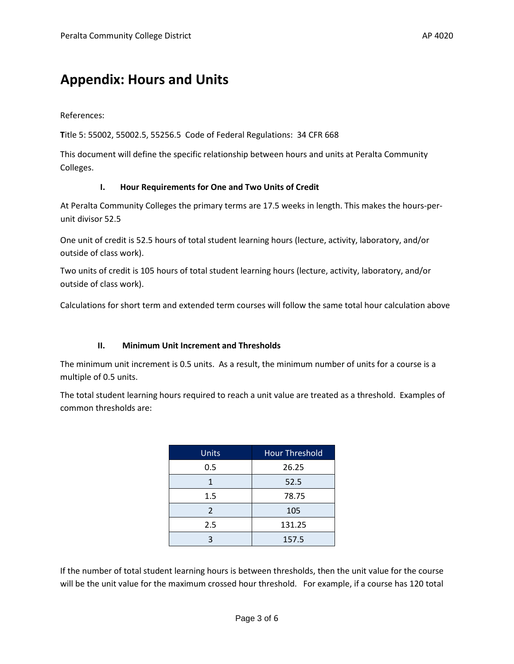# **Appendix: Hours and Units**

References:

**T**itle 5: 55002, 55002.5, 55256.5 Code of Federal Regulations: 34 CFR 668

This document will define the specific relationship between hours and units at Peralta Community Colleges.

#### **I. Hour Requirements for One and Two Units of Credit**

At Peralta Community Colleges the primary terms are 17.5 weeks in length. This makes the hours-perunit divisor 52.5

One unit of credit is 52.5 hours of total student learning hours (lecture, activity, laboratory, and/or outside of class work).

Two units of credit is 105 hours of total student learning hours (lecture, activity, laboratory, and/or outside of class work).

Calculations for short term and extended term courses will follow the same total hour calculation above

#### **II. Minimum Unit Increment and Thresholds**

The minimum unit increment is 0.5 units. As a result, the minimum number of units for a course is a multiple of 0.5 units.

The total student learning hours required to reach a unit value are treated as a threshold. Examples of common thresholds are:

| <b>Units</b> | <b>Hour Threshold</b> |  |
|--------------|-----------------------|--|
| 0.5          | 26.25                 |  |
| 1            | 52.5                  |  |
| 1.5          | 78.75                 |  |
| 2            | 105                   |  |
| 2.5          | 131.25                |  |
| 3            | 157.5                 |  |

If the number of total student learning hours is between thresholds, then the unit value for the course will be the unit value for the maximum crossed hour threshold. For example, if a course has 120 total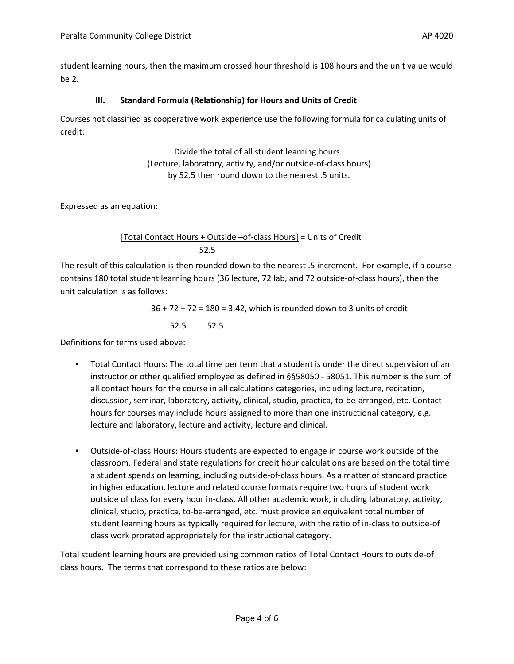student learning hours, then the maximum crossed hour threshold is 108 hours and the unit value would be 2.

## **III. Standard Formula (Relationship) for Hours and Units of Credit**

Courses not classified as cooperative work experience use the following formula for calculating units of credit:

> Divide the total of all student learning hours (Lecture, laboratory, activity, and/or outside-of-class hours) by 52.5 then round down to the nearest .5 units.

Expressed as an equation:

## [Total Contact Hours + Outside –of-class Hours] = Units of Credit 52.5

The result of this calculation is then rounded down to the nearest .5 increment. For example, if a course contains 180 total student learning hours (36 lecture, 72 lab, and 72 outside-of-class hours), then the unit calculation is as follows:

> $36 + 72 + 72 = 180 = 3.42$ , which is rounded down to 3 units of credit 52.5 52.5

Definitions for terms used above:

- Total Contact Hours: The total time per term that a student is under the direct supervision of an instructor or other qualified employee as defined in §§58050 - 58051. This number is the sum of all contact hours for the course in all calculations categories, including lecture, recitation, discussion, seminar, laboratory, activity, clinical, studio, practica, to-be-arranged, etc. Contact hours for courses may include hours assigned to more than one instructional category, e.g. lecture and laboratory, lecture and activity, lecture and clinical.
- Outside-of-class Hours: Hours students are expected to engage in course work outside of the classroom. Federal and state regulations for credit hour calculations are based on the total time a student spends on learning, including outside-of-class hours. As a matter of standard practice in higher education, lecture and related course formats require two hours of student work outside of class for every hour in-class. All other academic work, including laboratory, activity, clinical, studio, practica, to-be-arranged, etc. must provide an equivalent total number of student learning hours as typically required for lecture, with the ratio of in-class to outside-of class work prorated appropriately for the instructional category.

Total student learning hours are provided using common ratios of Total Contact Hours to outside-of class hours. The terms that correspond to these ratios are below: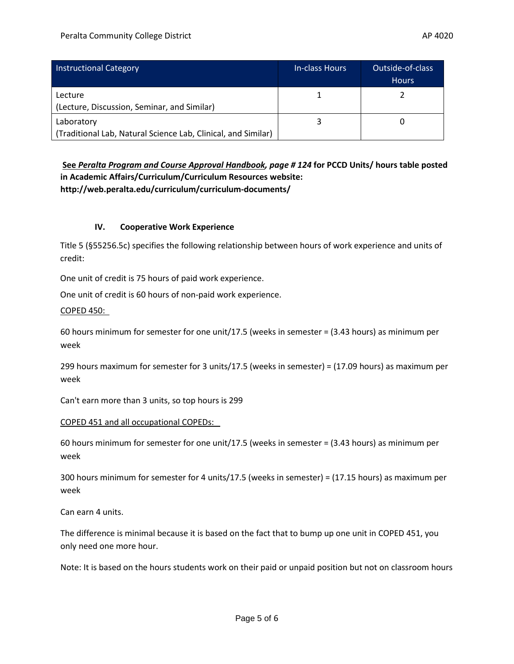| <b>Instructional Category</b>                                 | In-class Hours | Outside-of-class<br><b>Hours</b> |
|---------------------------------------------------------------|----------------|----------------------------------|
| Lecture                                                       |                |                                  |
| (Lecture, Discussion, Seminar, and Similar)                   |                |                                  |
| Laboratory                                                    |                |                                  |
| (Traditional Lab, Natural Science Lab, Clinical, and Similar) |                |                                  |

**See** *Peralta Program and Course Approval Handbook, page # 124* **for PCCD Units/ hours table posted in Academic Affairs/Curriculum/Curriculum Resources website: http://web.peralta.edu/curriculum/curriculum-documents/**

## **IV. Cooperative Work Experience**

Title 5 (§55256.5c) specifies the following relationship between hours of work experience and units of credit:

One unit of credit is 75 hours of paid work experience.

One unit of credit is 60 hours of non-paid work experience.

COPED 450:

60 hours minimum for semester for one unit/17.5 (weeks in semester = (3.43 hours) as minimum per week

299 hours maximum for semester for 3 units/17.5 (weeks in semester) = (17.09 hours) as maximum per week

Can't earn more than 3 units, so top hours is 299

#### COPED 451 and all occupational COPEDs:

60 hours minimum for semester for one unit/17.5 (weeks in semester = (3.43 hours) as minimum per week

300 hours minimum for semester for 4 units/17.5 (weeks in semester) = (17.15 hours) as maximum per week

Can earn 4 units.

The difference is minimal because it is based on the fact that to bump up one unit in COPED 451, you only need one more hour.

Note: It is based on the hours students work on their paid or unpaid position but not on classroom hours